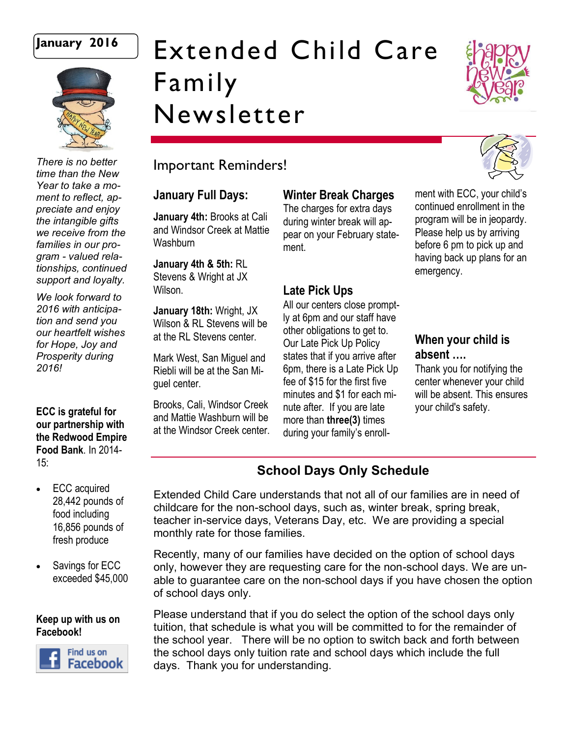

# **January 2016** Extended Child Care Family Newsletter



*There is no better time than the New Year to take a moment to reflect, appreciate and enjoy the intangible gifts we receive from the families in our program - valued relationships, continued support and loyalty.* 

*We look forward to 2016 with anticipation and send you our heartfelt wishes for Hope, Joy and Prosperity during 2016!*

**ECC is grateful for our partnership with the Redwood Empire Food Bank**. In 2014-  $15:$ 

- ECC acquired 28,442 pounds of food including 16,856 pounds of fresh produce
- Savings for ECC exceeded \$45,000

#### **Keep up with us on Facebook!**



# Important Reminders!

#### **January Full Days:**

**January 4th:** Brooks at Cali and Windsor Creek at Mattie **Washburn** 

**January 4th & 5th:** RL Stevens & Wright at JX Wilson.

**January 18th:** Wright, JX Wilson & RL Stevens will be at the RL Stevens center.

Mark West, San Miguel and Riebli will be at the San Miguel center.

Brooks, Cali, Windsor Creek and Mattie Washburn will be at the Windsor Creek center. **Winter Break Charges** 

The charges for extra days during winter break will appear on your February statement.

### **Late Pick Ups**

All our centers close promptly at 6pm and our staff have other obligations to get to. Our Late Pick Up Policy states that if you arrive after 6pm, there is a Late Pick Up fee of \$15 for the first five minutes and \$1 for each minute after. If you are late more than **three(3)** times during your family's enroll-

ment with ECC, your child's continued enrollment in the program will be in jeopardy. Please help us by arriving before 6 pm to pick up and having back up plans for an emergency.

## **When your child is absent ….**

Thank you for notifying the center whenever your child will be absent. This ensures your child's safety.

# **School Days Only Schedule**

Extended Child Care understands that not all of our families are in need of childcare for the non-school days, such as, winter break, spring break, teacher in-service days, Veterans Day, etc. We are providing a special monthly rate for those families.

Recently, many of our families have decided on the option of school days only, however they are requesting care for the non-school days. We are unable to guarantee care on the non-school days if you have chosen the option of school days only.

Please understand that if you do select the option of the school days only tuition, that schedule is what you will be committed to for the remainder of the school year. There will be no option to switch back and forth between the school days only tuition rate and school days which include the full days. Thank you for understanding.